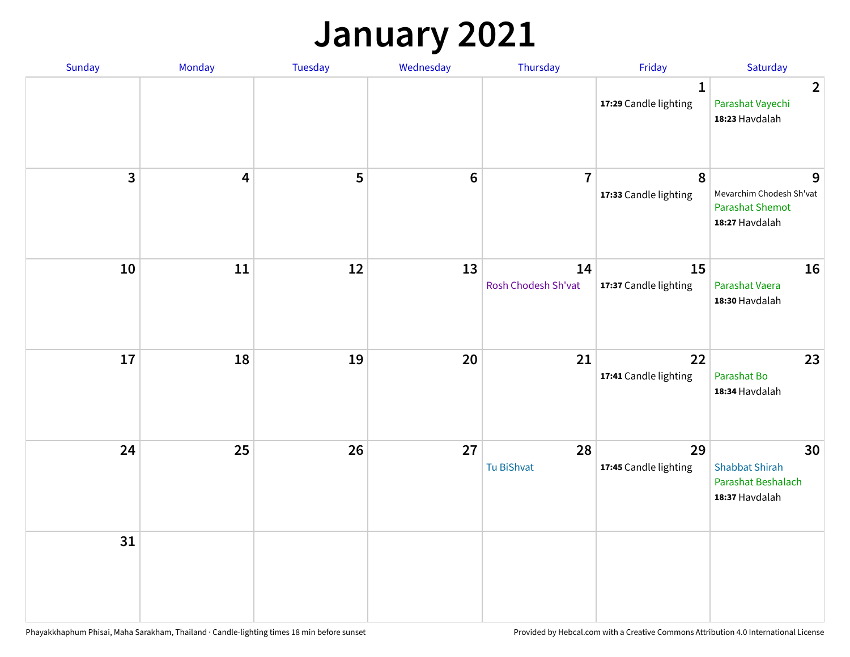#### **January 2021**

| Sunday                  | Monday                  | Tuesday | Wednesday | Thursday                  | Friday                                | Saturday                                                                  |
|-------------------------|-------------------------|---------|-----------|---------------------------|---------------------------------------|---------------------------------------------------------------------------|
|                         |                         |         |           |                           | $\mathbf{1}$<br>17:29 Candle lighting | $\overline{2}$<br>Parashat Vayechi<br>18:23 Havdalah                      |
| $\overline{\mathbf{3}}$ | $\overline{\mathbf{4}}$ | 5       | $\bf 6$   | $\overline{7}$            | 8<br>17:33 Candle lighting            | 9<br>Mevarchim Chodesh Sh'vat<br><b>Parashat Shemot</b><br>18:27 Havdalah |
| 10                      | 11                      | 12      | 13        | 14<br>Rosh Chodesh Sh'vat | 15<br>17:37 Candle lighting           | 16<br>Parashat Vaera<br>18:30 Havdalah                                    |
| 17                      | 18                      | 19      | 20        | 21                        | 22<br>17:41 Candle lighting           | 23<br>Parashat Bo<br>18:34 Havdalah                                       |
| 24                      | 25                      | 26      | 27        | 28<br>Tu BiShvat          | 29<br>17:45 Candle lighting           | 30<br><b>Shabbat Shirah</b><br>Parashat Beshalach<br>18:37 Havdalah       |
| 31                      |                         |         |           |                           |                                       |                                                                           |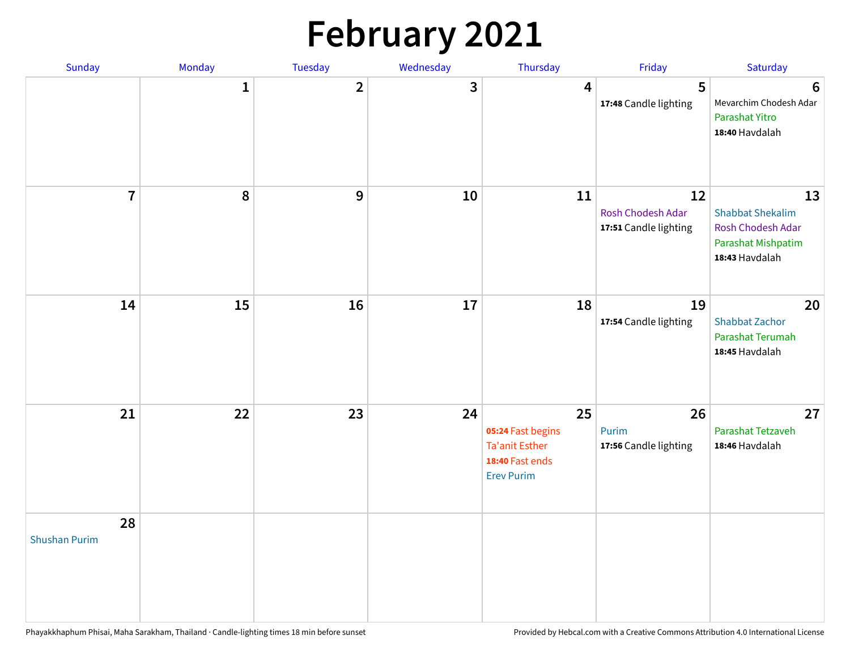# **February 2021**

| Sunday                     | Monday       | Tuesday      | Wednesday | Thursday                                                                                 | Friday                                           | Saturday                                                                                   |
|----------------------------|--------------|--------------|-----------|------------------------------------------------------------------------------------------|--------------------------------------------------|--------------------------------------------------------------------------------------------|
|                            | $\mathbf{1}$ | $\mathbf{2}$ | 3         | 4                                                                                        | 5<br>17:48 Candle lighting                       | $6\phantom{1}6$<br>Mevarchim Chodesh Adar<br>Parashat Yitro<br>18:40 Havdalah              |
| $\overline{7}$             | ${\bf 8}$    | 9            | 10        | 11                                                                                       | 12<br>Rosh Chodesh Adar<br>17:51 Candle lighting | 13<br><b>Shabbat Shekalim</b><br>Rosh Chodesh Adar<br>Parashat Mishpatim<br>18:43 Havdalah |
| 14                         | 15           | 16           | 17        | 18                                                                                       | 19<br>17:54 Candle lighting                      | 20<br><b>Shabbat Zachor</b><br>Parashat Terumah<br>18:45 Havdalah                          |
| 21                         | 22           | 23           | 24        | 25<br>05:24 Fast begins<br><b>Ta'anit Esther</b><br>18:40 Fast ends<br><b>Erev Purim</b> | 26<br>Purim<br>17:56 Candle lighting             | 27<br>Parashat Tetzaveh<br>18:46 Havdalah                                                  |
| 28<br><b>Shushan Purim</b> |              |              |           |                                                                                          |                                                  |                                                                                            |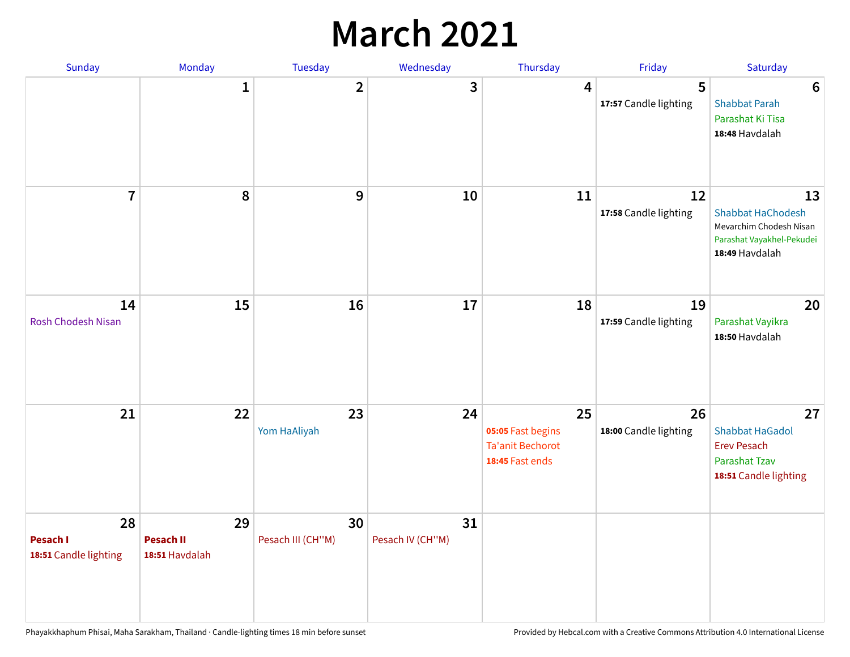### **March 2021**

| Sunday                                  | Monday                                   | Tuesday                 | Wednesday              | Thursday                                                              | Friday                      | Saturday                                                                                                 |
|-----------------------------------------|------------------------------------------|-------------------------|------------------------|-----------------------------------------------------------------------|-----------------------------|----------------------------------------------------------------------------------------------------------|
|                                         | $\mathbf{1}$                             | $\overline{2}$          | 3                      | 4                                                                     | 5<br>17:57 Candle lighting  | 6<br><b>Shabbat Parah</b><br>Parashat Ki Tisa<br>18:48 Havdalah                                          |
| $\overline{7}$                          | 8                                        | 9                       | 10                     | 11                                                                    | 12<br>17:58 Candle lighting | 13<br><b>Shabbat HaChodesh</b><br>Mevarchim Chodesh Nisan<br>Parashat Vayakhel-Pekudei<br>18:49 Havdalah |
| 14<br><b>Rosh Chodesh Nisan</b>         | 15                                       | 16                      | 17                     | 18                                                                    | 19<br>17:59 Candle lighting | 20<br>Parashat Vayikra<br>18:50 Havdalah                                                                 |
| 21                                      | 22                                       | 23<br>Yom HaAliyah      | 24                     | 25<br>05:05 Fast begins<br><b>Ta'anit Bechorot</b><br>18:45 Fast ends | 26<br>18:00 Candle lighting | 27<br><b>Shabbat HaGadol</b><br><b>Erev Pesach</b><br><b>Parashat Tzav</b><br>18:51 Candle lighting      |
| 28<br>Pesach I<br>18:51 Candle lighting | 29<br><b>Pesach II</b><br>18:51 Havdalah | 30<br>Pesach III (CH"M) | 31<br>Pesach IV (CH"M) |                                                                       |                             |                                                                                                          |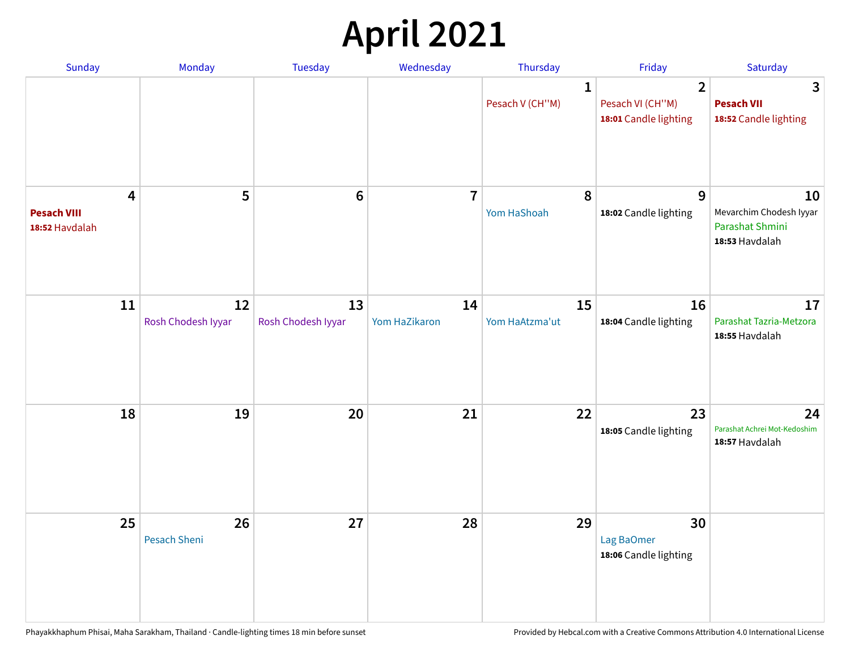# **April 2021**

| Sunday                                    | Monday                   | <b>Tuesday</b>           | Wednesday           | Thursday                        | Friday                                                      | Saturday                                                           |
|-------------------------------------------|--------------------------|--------------------------|---------------------|---------------------------------|-------------------------------------------------------------|--------------------------------------------------------------------|
|                                           |                          |                          |                     | $\mathbf{1}$<br>Pesach V (CH"M) | $\overline{2}$<br>Pesach VI (CH"M)<br>18:01 Candle lighting | 3<br><b>Pesach VII</b><br>18:52 Candle lighting                    |
| 4<br><b>Pesach VIII</b><br>18:52 Havdalah | 5                        | $6\phantom{1}6$          | $\overline{7}$      | 8<br>Yom HaShoah                | 9<br>18:02 Candle lighting                                  | 10<br>Mevarchim Chodesh Iyyar<br>Parashat Shmini<br>18:53 Havdalah |
| 11                                        | 12<br>Rosh Chodesh Iyyar | 13<br>Rosh Chodesh Iyyar | 14<br>Yom HaZikaron | 15<br>Yom HaAtzma'ut            | 16<br>18:04 Candle lighting                                 | 17<br>Parashat Tazria-Metzora<br>18:55 Havdalah                    |
| 18                                        | 19                       | 20                       | 21                  | 22                              | 23<br>18:05 Candle lighting                                 | 24<br>Parashat Achrei Mot-Kedoshim<br>18:57 Havdalah               |
| 25                                        | 26<br>Pesach Sheni       | 27                       | 28                  | 29                              | 30<br>Lag BaOmer<br>18:06 Candle lighting                   |                                                                    |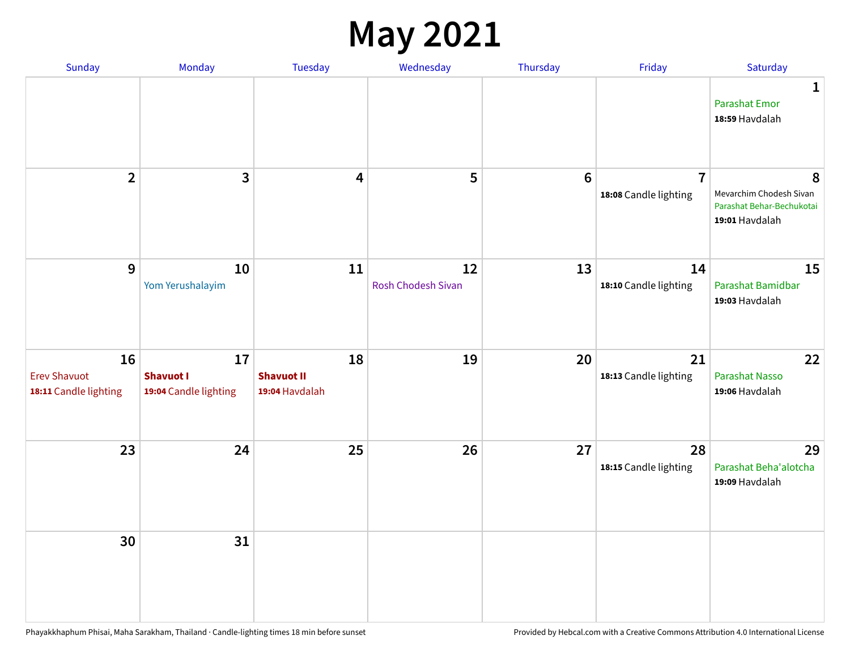#### **May 2021**

| Sunday                                             | Monday                                          | <b>Tuesday</b>                            | Wednesday                | Thursday        | Friday                                  | Saturday                                                                    |
|----------------------------------------------------|-------------------------------------------------|-------------------------------------------|--------------------------|-----------------|-----------------------------------------|-----------------------------------------------------------------------------|
|                                                    |                                                 |                                           |                          |                 |                                         | 1<br><b>Parashat Emor</b><br>18:59 Havdalah                                 |
| $\overline{2}$                                     | $\mathbf{3}$                                    | $\boldsymbol{4}$                          | 5                        | $6\phantom{1}6$ | $\overline{7}$<br>18:08 Candle lighting | 8<br>Mevarchim Chodesh Sivan<br>Parashat Behar-Bechukotai<br>19:01 Havdalah |
| $\mathbf{9}$                                       | 10<br>Yom Yerushalayim                          | 11                                        | 12<br>Rosh Chodesh Sivan | 13              | 14<br>18:10 Candle lighting             | 15<br>Parashat Bamidbar<br>19:03 Havdalah                                   |
| 16<br><b>Erev Shavuot</b><br>18:11 Candle lighting | 17<br><b>Shavuot I</b><br>19:04 Candle lighting | 18<br><b>Shavuot II</b><br>19:04 Havdalah | 19                       | 20              | 21<br>18:13 Candle lighting             | 22<br><b>Parashat Nasso</b><br>19:06 Havdalah                               |
| 23                                                 | 24                                              | 25                                        | 26                       | 27              | 28<br>18:15 Candle lighting             | 29<br>Parashat Beha'alotcha<br>19:09 Havdalah                               |
| 30                                                 | 31                                              |                                           |                          |                 |                                         |                                                                             |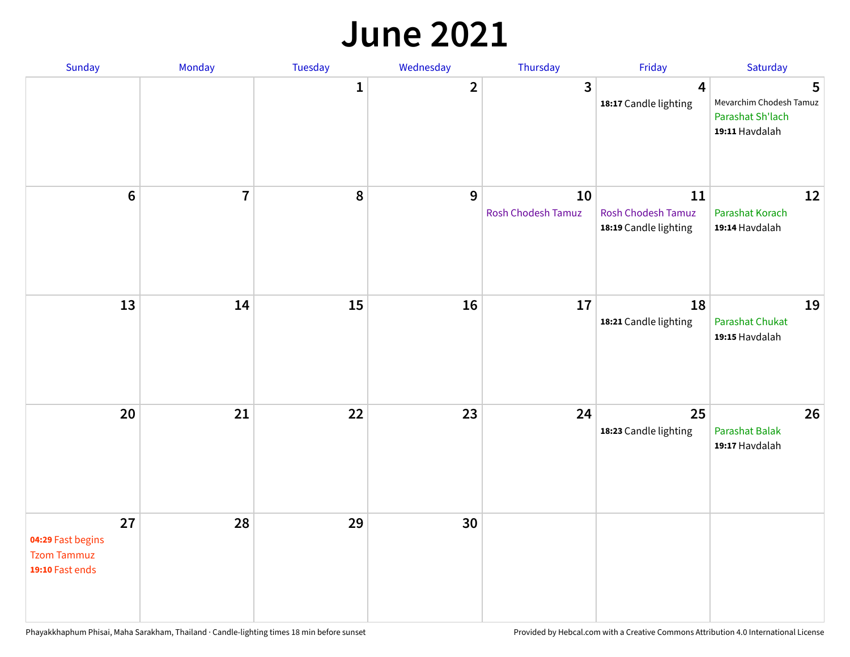#### **June 2021**

| Sunday                                                           | Monday         | Tuesday      | Wednesday      | Thursday                        | Friday                                                   | Saturday                                                           |
|------------------------------------------------------------------|----------------|--------------|----------------|---------------------------------|----------------------------------------------------------|--------------------------------------------------------------------|
|                                                                  |                | $\mathbf{1}$ | $\overline{2}$ | $\mathbf{3}$                    | $\overline{\mathbf{4}}$<br>18:17 Candle lighting         | 5<br>Mevarchim Chodesh Tamuz<br>Parashat Sh'lach<br>19:11 Havdalah |
| $6\,$                                                            | $\overline{7}$ | 8            | 9              | 10<br><b>Rosh Chodesh Tamuz</b> | 11<br><b>Rosh Chodesh Tamuz</b><br>18:19 Candle lighting | 12<br>Parashat Korach<br>19:14 Havdalah                            |
| 13                                                               | 14             | 15           | <b>16</b>      | 17                              | 18<br>18:21 Candle lighting                              | 19<br><b>Parashat Chukat</b><br>19:15 Havdalah                     |
| 20                                                               | 21             | 22           | 23             | 24                              | 25<br>18:23 Candle lighting                              | 26<br><b>Parashat Balak</b><br>19:17 Havdalah                      |
| 27<br>04:29 Fast begins<br><b>Tzom Tammuz</b><br>19:10 Fast ends | 28             | 29           | 30             |                                 |                                                          |                                                                    |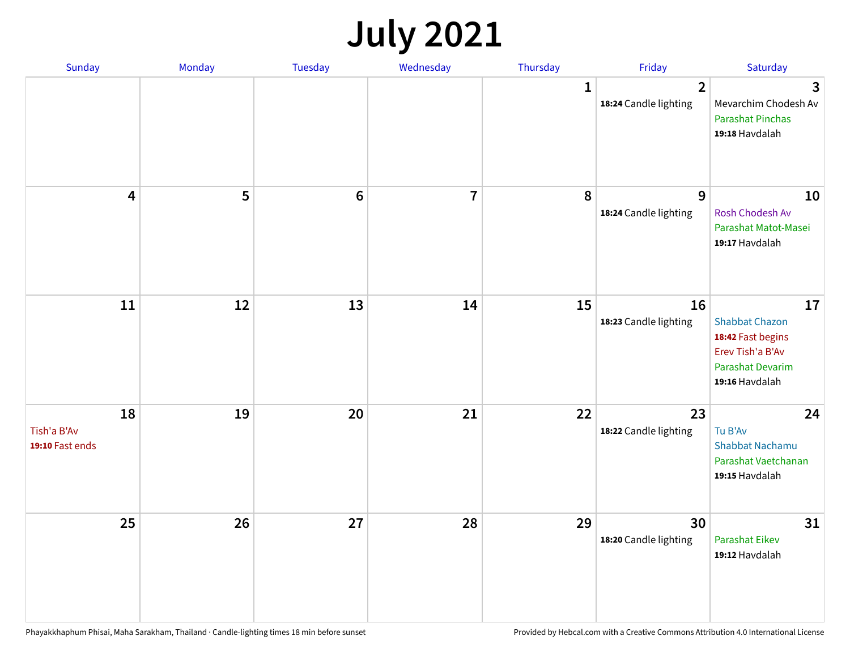### **July 2021**

| Sunday                               | Monday | Tuesday         | Wednesday               | Thursday | Friday                                  | Saturday                                                                                                          |
|--------------------------------------|--------|-----------------|-------------------------|----------|-----------------------------------------|-------------------------------------------------------------------------------------------------------------------|
|                                      |        |                 |                         | 1        | $\overline{2}$<br>18:24 Candle lighting | 3<br>Mevarchim Chodesh Av<br><b>Parashat Pinchas</b><br>19:18 Havdalah                                            |
| $\overline{\mathbf{4}}$              | 5      | $6\phantom{1}6$ | $\overline{\mathbf{7}}$ | 8        | 9<br>18:24 Candle lighting              | 10<br>Rosh Chodesh Av<br>Parashat Matot-Masei<br>19:17 Havdalah                                                   |
| $11\,$                               | 12     | 13              | 14                      | 15       | 16<br>18:23 Candle lighting             | 17<br><b>Shabbat Chazon</b><br>18:42 Fast begins<br>Erev Tish'a B'Av<br><b>Parashat Devarim</b><br>19:16 Havdalah |
| 18<br>Tish'a B'Av<br>19:10 Fast ends | 19     | 20              | 21                      | 22       | 23<br>18:22 Candle lighting             | 24<br>Tu B'Av<br><b>Shabbat Nachamu</b><br>Parashat Vaetchanan<br>19:15 Havdalah                                  |
| 25                                   | 26     | 27              | 28                      | 29       | 30<br>18:20 Candle lighting             | 31<br>Parashat Eikev<br>19:12 Havdalah                                                                            |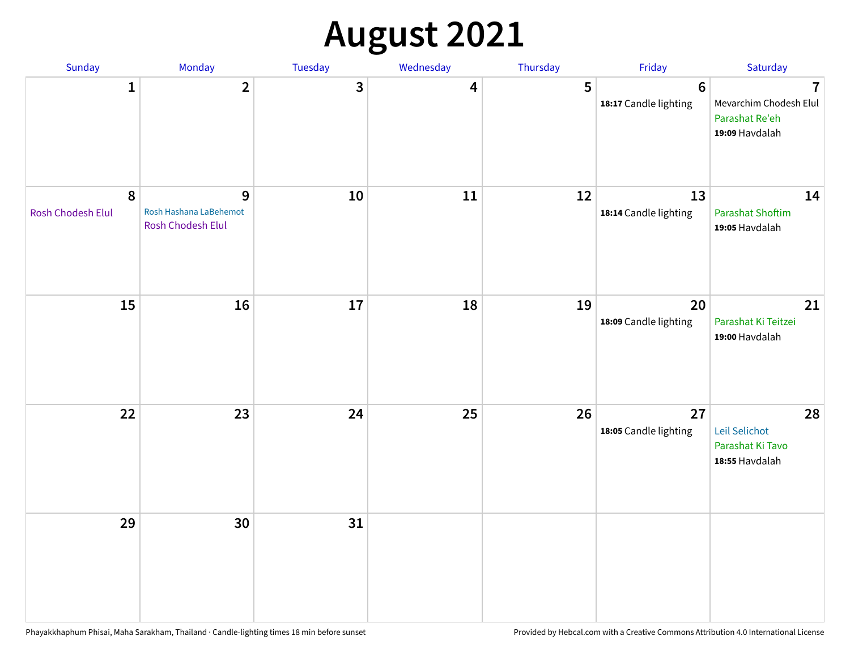# **August 2021**

| Sunday                         | Monday                                           | Tuesday | Wednesday | Thursday | Friday                           | Saturday                                                                     |
|--------------------------------|--------------------------------------------------|---------|-----------|----------|----------------------------------|------------------------------------------------------------------------------|
| $\mathbf{1}$                   | $\overline{2}$                                   | 3       | 4         | 5        | $\bf 6$<br>18:17 Candle lighting | $\overline{1}$<br>Mevarchim Chodesh Elul<br>Parashat Re'eh<br>19:09 Havdalah |
| $\pmb{8}$<br>Rosh Chodesh Elul | 9<br>Rosh Hashana LaBehemot<br>Rosh Chodesh Elul | 10      | 11        | 12       | 13<br>18:14 Candle lighting      | 14<br><b>Parashat Shoftim</b><br>19:05 Havdalah                              |
| 15                             | 16                                               | 17      | 18        | 19       | 20<br>18:09 Candle lighting      | 21<br>Parashat Ki Teitzei<br>19:00 Havdalah                                  |
| 22                             | 23                                               | 24      | 25        | 26       | 27<br>18:05 Candle lighting      | 28<br>Leil Selichot<br>Parashat Ki Tavo<br>18:55 Havdalah                    |
| 29                             | 30                                               | 31      |           |          |                                  |                                                                              |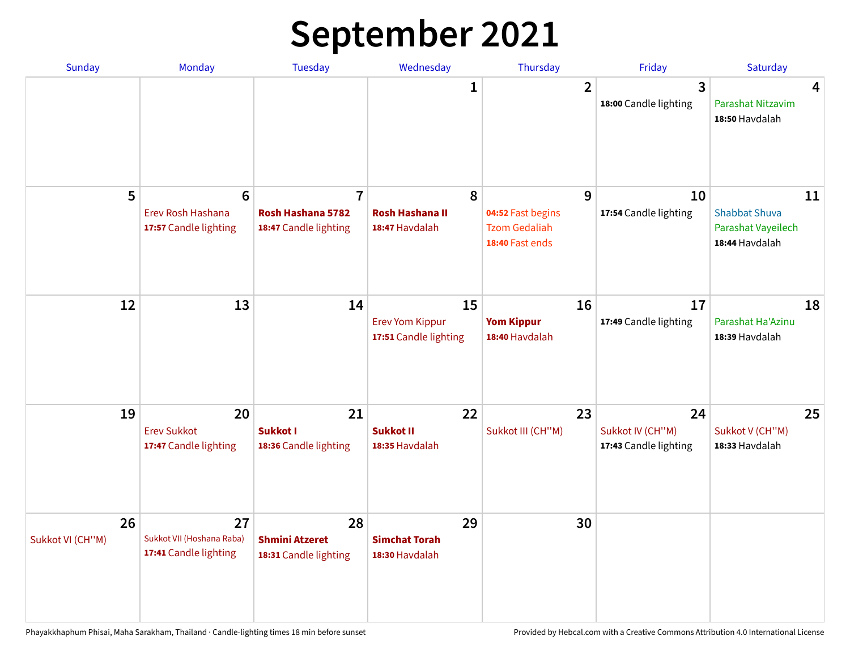## **September 2021**

| <b>Sunday</b>          | <b>Monday</b>                                                 | <b>Tuesday</b>                                               | Wednesday                                             | Thursday                                                          | Friday                                          | Saturday                                                           |
|------------------------|---------------------------------------------------------------|--------------------------------------------------------------|-------------------------------------------------------|-------------------------------------------------------------------|-------------------------------------------------|--------------------------------------------------------------------|
|                        |                                                               |                                                              | 1                                                     | $\overline{2}$                                                    | 3<br>18:00 Candle lighting                      | 4<br>Parashat Nitzavim<br>18:50 Havdalah                           |
| 5                      | $6\phantom{1}6$<br>Erev Rosh Hashana<br>17:57 Candle lighting | $\overline{7}$<br>Rosh Hashana 5782<br>18:47 Candle lighting | 8<br><b>Rosh Hashana II</b><br>18:47 Havdalah         | 9<br>04:52 Fast begins<br><b>Tzom Gedaliah</b><br>18:40 Fast ends | 10<br>17:54 Candle lighting                     | 11<br><b>Shabbat Shuva</b><br>Parashat Vayeilech<br>18:44 Havdalah |
| 12                     | 13                                                            | 14                                                           | 15<br><b>Erev Yom Kippur</b><br>17:51 Candle lighting | 16<br><b>Yom Kippur</b><br>18:40 Havdalah                         | 17<br>17:49 Candle lighting                     | 18<br>Parashat Ha'Azinu<br>18:39 Havdalah                          |
| 19                     | 20<br><b>Erev Sukkot</b><br>17:47 Candle lighting             | 21<br>Sukkot I<br>18:36 Candle lighting                      | 22<br><b>Sukkot II</b><br>18:35 Havdalah              | 23<br>Sukkot III (CH"M)                                           | 24<br>Sukkot IV (CH"M)<br>17:43 Candle lighting | 25<br>Sukkot V (CH"M)<br>18:33 Havdalah                            |
| 26<br>Sukkot VI (CH"M) | 27<br>Sukkot VII (Hoshana Raba)<br>17:41 Candle lighting      | 28<br><b>Shmini Atzeret</b><br>18:31 Candle lighting         | 29<br><b>Simchat Torah</b><br>18:30 Havdalah          | 30                                                                |                                                 |                                                                    |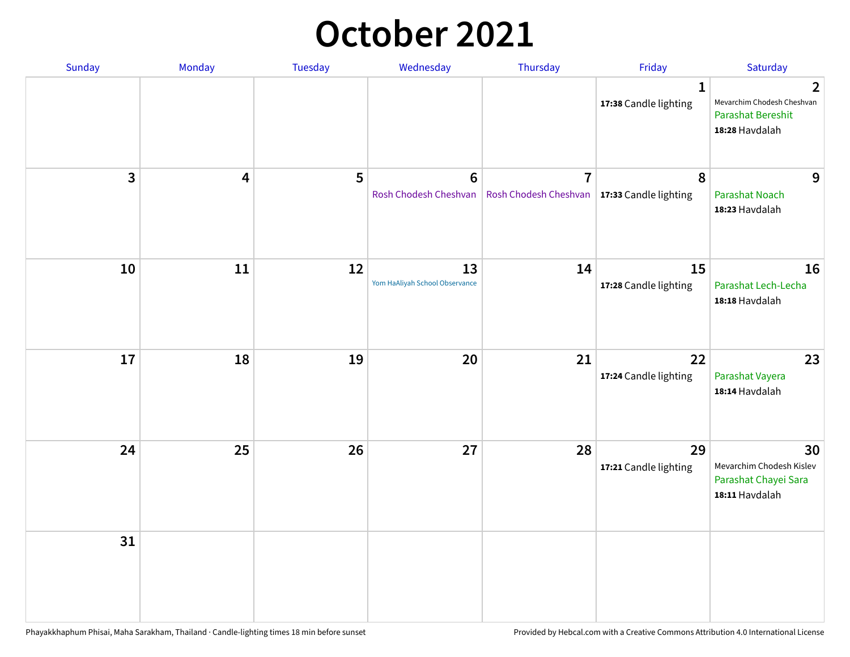#### **October 2021**

| Sunday         | Monday                  | Tuesday | Wednesday                               | Thursday                                                        | Friday                                | Saturday                                                                                   |
|----------------|-------------------------|---------|-----------------------------------------|-----------------------------------------------------------------|---------------------------------------|--------------------------------------------------------------------------------------------|
|                |                         |         |                                         |                                                                 | $\mathbf{1}$<br>17:38 Candle lighting | $\overline{2}$<br>Mevarchim Chodesh Cheshvan<br><b>Parashat Bereshit</b><br>18:28 Havdalah |
| $\overline{3}$ | $\overline{\mathbf{4}}$ | 5       | $6\phantom{1}$<br>Rosh Chodesh Cheshvan | $\overline{7}$<br>Rosh Chodesh Cheshvan   17:33 Candle lighting | 8                                     | 9<br><b>Parashat Noach</b><br>18:23 Havdalah                                               |
| 10             | 11                      | 12      | 13<br>Yom HaAliyah School Observance    | 14                                                              | 15<br>17:28 Candle lighting           | 16<br>Parashat Lech-Lecha<br>18:18 Havdalah                                                |
| 17             | 18                      | 19      | 20                                      | 21                                                              | 22<br>17:24 Candle lighting           | 23<br>Parashat Vayera<br>18:14 Havdalah                                                    |
| 24             | 25                      | 26      | 27                                      | 28                                                              | 29<br>17:21 Candle lighting           | 30<br>Mevarchim Chodesh Kislev<br>Parashat Chayei Sara<br>18:11 Havdalah                   |
| 31             |                         |         |                                         |                                                                 |                                       |                                                                                            |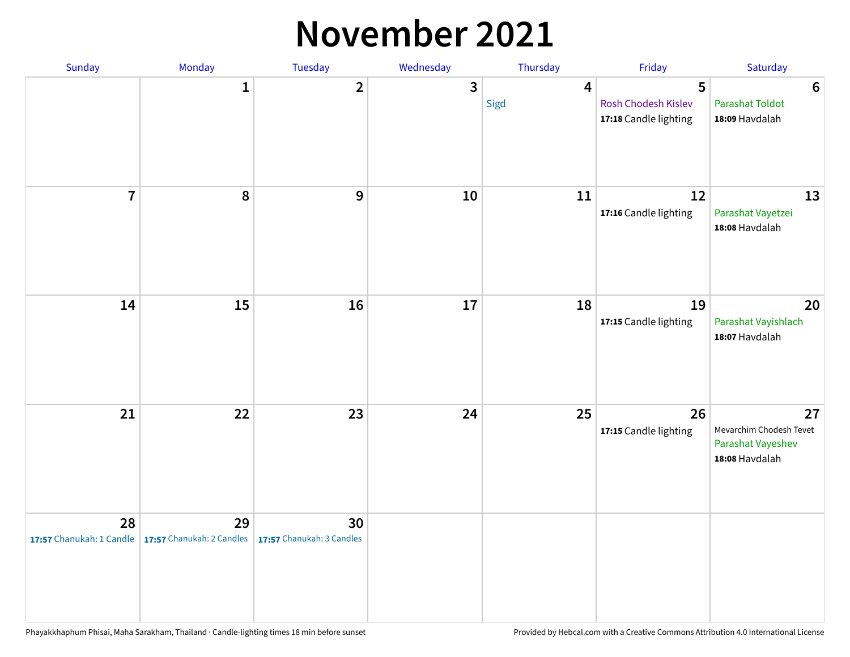#### **November 2021**

| Sunday                         | Monday                          | Tuesday                         | Wednesday | Thursday                 | Friday                                            | Saturday                                                             |
|--------------------------------|---------------------------------|---------------------------------|-----------|--------------------------|---------------------------------------------------|----------------------------------------------------------------------|
|                                | 1                               | $\overline{2}$                  | 3         | $\boldsymbol{4}$<br>Sigd | 5<br>Rosh Chodesh Kislev<br>17:18 Candle lighting | $6\phantom{1}6$<br><b>Parashat Toldot</b><br>18:09 Havdalah          |
| $\overline{7}$                 | 8                               | $\boldsymbol{9}$                | 10        | 11                       | 12<br>17:16 Candle lighting                       | 13<br>Parashat Vayetzei<br>18:08 Havdalah                            |
| 14                             | 15                              | 16                              | 17        | 18                       | 19<br>17:15 Candle lighting                       | 20<br>Parashat Vayishlach<br>18:07 Havdalah                          |
| 21                             | 22                              | 23                              | 24        | 25                       | 26<br>17:15 Candle lighting                       | 27<br>Mevarchim Chodesh Tevet<br>Parashat Vayeshev<br>18:08 Havdalah |
| 28<br>17:57 Chanukah: 1 Candle | 29<br>17:57 Chanukah: 2 Candles | 30<br>17:57 Chanukah: 3 Candles |           |                          |                                                   |                                                                      |